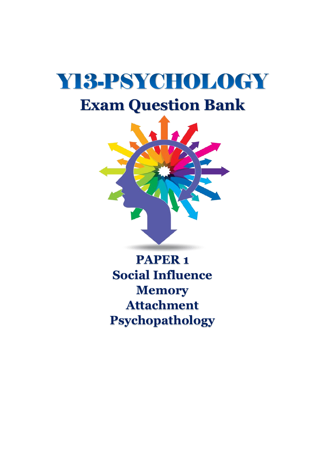# YI3-PSYCHOLOGY **Exam Question Bank**



**PAPER 1 Social Influence Memory Attachment Psychopathology**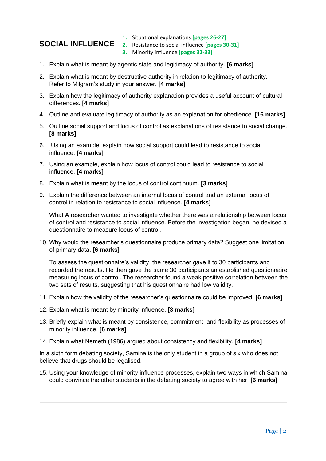- **1.** Situational explanations **[pages 26-27]**
- **SOCIAL INFLUENCE 2.** Resistance to social influence **[pages 30-31]**
	- **3.** Minority influence **[pages 32-33]**
- 1. Explain what is meant by agentic state and legitimacy of authority. **[6 marks]**
- 2. Explain what is meant by destructive authority in relation to legitimacy of authority. Refer to Milgram's study in your answer. **[4 marks]**
- 3. Explain how the legitimacy of authority explanation provides a useful account of cultural differences. **[4 marks]**
- 4. Outline and evaluate legitimacy of authority as an explanation for obedience. **[16 marks]**
- 5. Outline social support and locus of control as explanations of resistance to social change. **[8 marks]**
- 6. Using an example, explain how social support could lead to resistance to social influence. **[4 marks]**
- 7. Using an example, explain how locus of control could lead to resistance to social influence. **[4 marks]**
- 8. Explain what is meant by the locus of control continuum. **[3 marks]**
- 9. Explain the difference between an internal locus of control and an external locus of control in relation to resistance to social influence. **[4 marks]**

What A researcher wanted to investigate whether there was a relationship between locus of control and resistance to social influence. Before the investigation began, he devised a questionnaire to measure locus of control.

10. Why would the researcher's questionnaire produce primary data? Suggest one limitation of primary data. **[6 marks]** 

To assess the questionnaire's validity, the researcher gave it to 30 participants and recorded the results. He then gave the same 30 participants an established questionnaire measuring locus of control. The researcher found a weak positive correlation between the two sets of results, suggesting that his questionnaire had low validity.

- 11. Explain how the validity of the researcher's questionnaire could be improved. **[6 marks]**
- 12. Explain what is meant by minority influence. **[3 marks]**
- 13. Briefly explain what is meant by consistence, commitment, and flexibility as processes of minority influence. **[6 marks]**
- 14. Explain what Nemeth (1986) argued about consistency and flexibility. **[4 marks]**

In a sixth form debating society, Samina is the only student in a group of six who does not believe that drugs should be legalised.

15. Using your knowledge of minority influence processes, explain two ways in which Samina could convince the other students in the debating society to agree with her. **[6 marks]**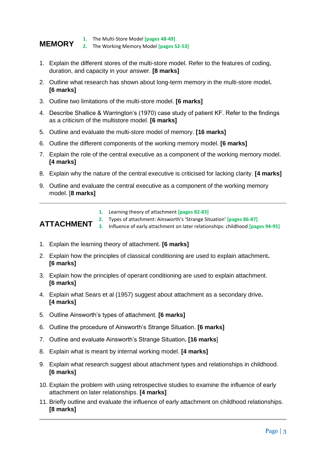### **MEMORY 1.** The Multi-Store Model **[pages 48-49]**

- **2.** The Working Memory Model **[pages 52-53]**
- 1. Explain the different stores of the multi-store model. Refer to the features of coding, duration, and capacity in your answer. **[8 marks]**
- 2. Outline what research has shown about long-term memory in the multi-store model**. [6 marks]**
- 3. Outline two limitations of the multi-store model. **[6 marks]**
- 4. Describe Shallice & Warrington's (1970) case study of patient KF. Refer to the findings as a criticism of the multistore model. **[6 marks]**
- 5. Outline and evaluate the multi-store model of memory. **[16 marks]**
- 6. Outline the different components of the working memory model. **[6 marks]**
- 7. Explain the role of the central executive as a component of the working memory model. **[4 marks]**
- 8. Explain why the nature of the central executive is criticised for lacking clarity. **[4 marks]**
- 9. Outline and evaluate the central executive as a component of the working memory model. [**8 marks]**
	- **1.** Learning theory of attachment **[pages 82-83]**

#### **ATTACHMENT 2.** Types of attachment: Ainsworth's 'Strange Situation' **[pages 86-87] 3.** Influence of early attachment on later relationships: childhood **[pages 94-95]**

- 1. Explain the learning theory of attachment. **[6 marks]**
- 2. Explain how the principles of classical conditioning are used to explain attachment**. [6 marks]**
- 3. Explain how the principles of operant conditioning are used to explain attachment. **[6 marks]**
- 4. Explain what Sears et al (1957) suggest about attachment as a secondary drive**. [4 marks]**
- 5. Outline Ainsworth's types of attachment. **[6 marks]**
- 6. Outline the procedure of Ainsworth's Strange Situation. **[6 marks]**
- 7. Outline and evaluate Ainsworth's Strange Situation**. [16 marks**]
- 8. Explain what is meant by internal working model. **[4 marks]**
- 9. Explain what research suggest about attachment types and relationships in childhood. **[6 marks]**
- 10. Explain the problem with using retrospective studies to examine the influence of early attachment on later relationships. **[4 marks]**
- 11. Briefly outline and evaluate the influence of early attachment on childhood relationships. **[8 marks]**